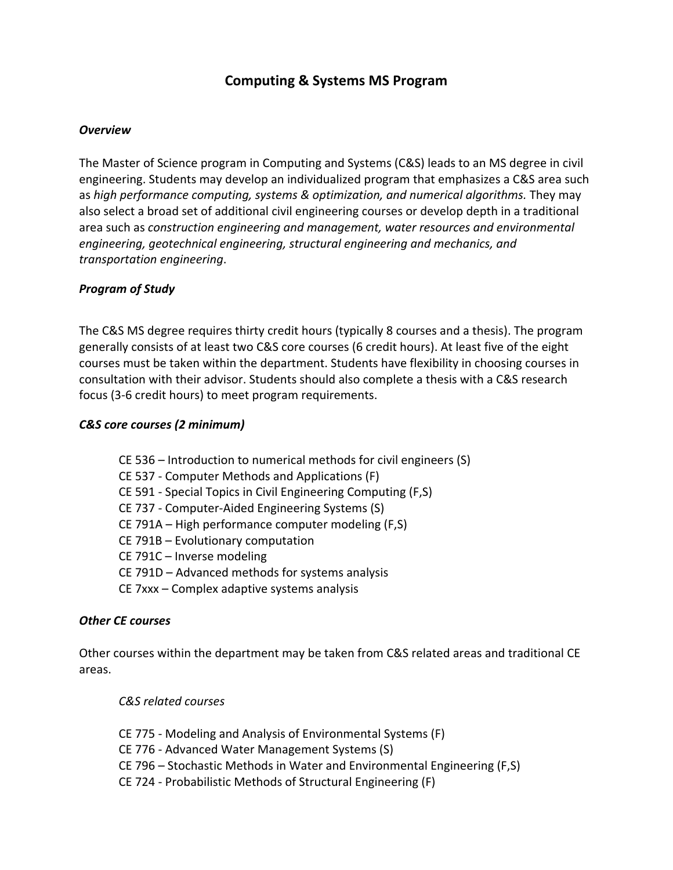# **Computing & Systems MS Program**

#### *Overview*

The Master of Science program in Computing and Systems (C&S) leads to an MS degree in civil engineering. Students may develop an individualized program that emphasizes a C&S area such as *high performance computing, systems & optimization, and numerical algorithms*. They may also select a broad set of additional civil engineering courses or develop depth in a traditional area such as *construction engineering and management, water resources and environmental engineering, geotechnical engineering, structural engineering and mechanics, and transportation engineering*.

### *Program of Study*

The C&S MS degree requires thirty credit hours (typically 8 courses and a thesis). The program generally consists of at least two C&S core courses (6 credit hours). At least five of the eight courses must be taken within the department. Students have flexibility in choosing courses in consultation with their advisor. Students should also complete a thesis with a C&S research focus (3-6 credit hours) to meet program requirements.

### *C&S core courses (2 minimum)*

CE 536 – Introduction to numerical methods for civil engineers (S) CE 537 - Computer Methods and Applications (F) CE 591 - Special Topics in Civil Engineering Computing (F,S) CE 737 - Computer-Aided Engineering Systems (S) CE 791A – High performance computer modeling (F,S) CE 791B – Evolutionary computation CE 791C – Inverse modeling CE 791D – Advanced methods for systems analysis CE 7xxx – Complex adaptive systems analysis

#### *Other CE courses*

Other courses within the department may be taken from C&S related areas and traditional CE areas.

*C&S related courses*

CE 775 - Modeling and Analysis of Environmental Systems (F) CE 776 - Advanced Water Management Systems (S) CE 796 – Stochastic Methods in Water and Environmental Engineering (F,S) CE 724 - Probabilistic Methods of Structural Engineering (F)